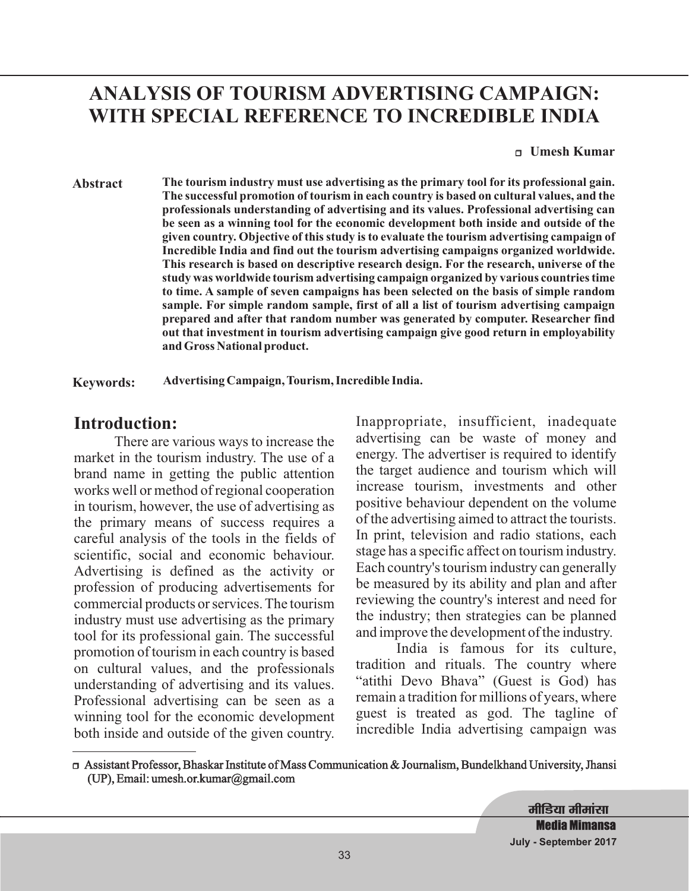# **ANALYSIS OF TOURISM ADVERTISING CAMPAIGN: WITH SPECIAL REFERENCE TO INCREDIBLE INDIA**

<sup>r</sup> **Umesh Kumar**

**Abstract The tourism industry must use advertising as the primary tool for its professional gain. The successful promotion of tourism in each country is based on cultural values, and the professionals understanding of advertising and its values. Professional advertising can be seen as a winning tool for the economic development both inside and outside of the given country. Objective of this study is to evaluate the tourism advertising campaign of Incredible India and find out the tourism advertising campaigns organized worldwide. This research is based on descriptive research design. For the research, universe of the study was worldwide tourism advertising campaign organized by various countries time to time. A sample of seven campaigns has been selected on the basis of simple random sample. For simple random sample, first of all a list of tourism advertising campaign prepared and after that random number was generated by computer. Researcher find out that investment in tourism advertising campaign give good return in employability and Gross National product.**

**Keywords: Advertising Campaign, Tourism, Incredible India.**

### **Introduction:**

There are various ways to increase the market in the tourism industry. The use of a brand name in getting the public attention works well or method of regional cooperation in tourism, however, the use of advertising as the primary means of success requires a careful analysis of the tools in the fields of scientific, social and economic behaviour. Advertising is defined as the activity or profession of producing advertisements for commercial products or services. The tourism industry must use advertising as the primary tool for its professional gain. The successful promotion of tourism in each country is based on cultural values, and the professionals understanding of advertising and its values. Professional advertising can be seen as a winning tool for the economic development both inside and outside of the given country.

Inappropriate, insufficient, inadequate advertising can be waste of money and energy. The advertiser is required to identify the target audience and tourism which will increase tourism, investments and other positive behaviour dependent on the volume of the advertising aimed to attract the tourists. In print, television and radio stations, each stage has a specific affect on tourism industry. Each country's tourism industry can generally be measured by its ability and plan and after reviewing the country's interest and need for the industry; then strategies can be planned and improve the development of the industry.

India is famous for its culture, tradition and rituals. The country where "atithi Devo Bhava" (Guest is God) has remain a tradition for millions of years, where guest is treated as god. The tagline of incredible India advertising campaign was

<sup>r</sup> Assistant Professor, Bhaskar Institute of Mass Communication & Journalism, Bundelkhand University, Jhansi (UP), Email: umesh.or.kumar@gmail.com

> **मीडिया मीमांसा Media Mimansa July - September 2017**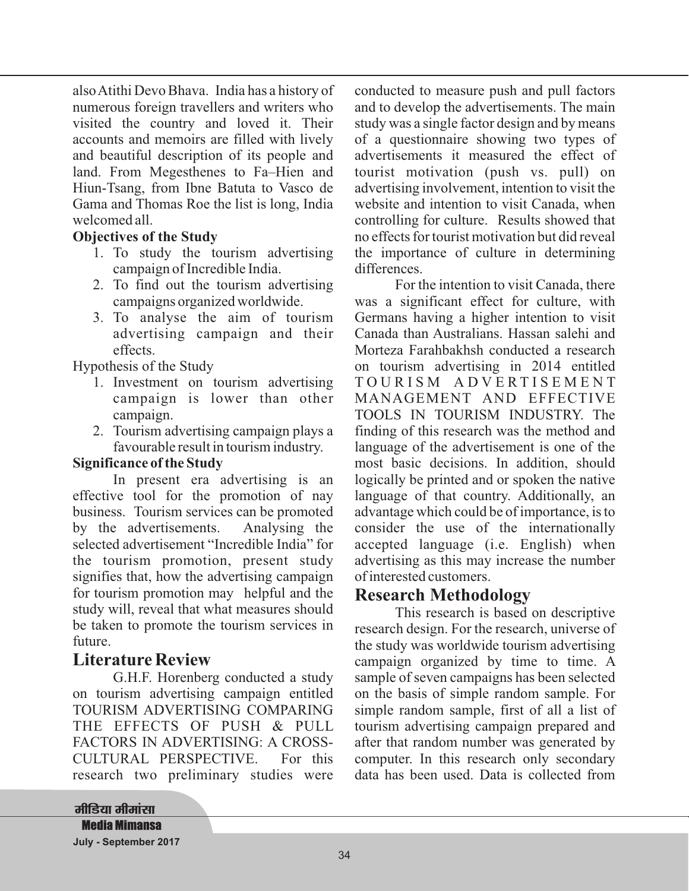alsoAtithi Devo Bhava. India has a history of numerous foreign travellers and writers who visited the country and loved it. Their accounts and memoirs are filled with lively and beautiful description of its people and land. From Megesthenes to Fa–Hien and Hiun-Tsang, from Ibne Batuta to Vasco de Gama and Thomas Roe the list is long, India welcomed all.

#### **Objectives of the Study**

- 1. To study the tourism advertising campaign of Incredible India.
- 2. To find out the tourism advertising campaigns organized worldwide.
- 3. To analyse the aim of tourism advertising campaign and their effects.

Hypothesis of the Study

- 1. Investment on tourism advertising campaign is lower than other campaign.
- 2. Tourism advertising campaign plays a favourable result in tourism industry.

#### **Significance of the Study**

In present era advertising is an effective tool for the promotion of nay business. Tourism services can be promoted by the advertisements. Analysing the selected advertisement "Incredible India" for the tourism promotion, present study signifies that, how the advertising campaign for tourism promotion may helpful and the study will, reveal that what measures should be taken to promote the tourism services in future.

## **Literature Review**

G.H.F. Horenberg conducted a study on tourism advertising campaign entitled TOURISM ADVERTISING COMPARING THE EFFECTS OF PUSH & PULL FACTORS IN ADVERTISING: A CROSS-CULTURAL PERSPECTIVE. For this research two preliminary studies were conducted to measure push and pull factors and to develop the advertisements. The main study was a single factor design and by means of a questionnaire showing two types of advertisements it measured the effect of tourist motivation (push vs. pull) on advertising involvement, intention to visit the website and intention to visit Canada, when controlling for culture. Results showed that no effects for tourist motivation but did reveal the importance of culture in determining differences.

For the intention to visit Canada, there was a significant effect for culture, with Germans having a higher intention to visit Canada than Australians. Hassan salehi and Morteza Farahbakhsh conducted a research on tourism advertising in 2014 entitled T O U R I S M A D V E R T I S E M E N T MANAGEMENT AND EFFECTIVE TOOLS IN TOURISM INDUSTRY. The finding of this research was the method and language of the advertisement is one of the most basic decisions. In addition, should logically be printed and or spoken the native language of that country. Additionally, an advantage which could be of importance, is to consider the use of the internationally accepted language (i.e. English) when advertising as this may increase the number of interested customers.

## **Research Methodology**

This research is based on descriptive research design. For the research, universe of the study was worldwide tourism advertising campaign organized by time to time. A sample of seven campaigns has been selected on the basis of simple random sample. For simple random sample, first of all a list of tourism advertising campaign prepared and after that random number was generated by computer. In this research only secondary data has been used. Data is collected from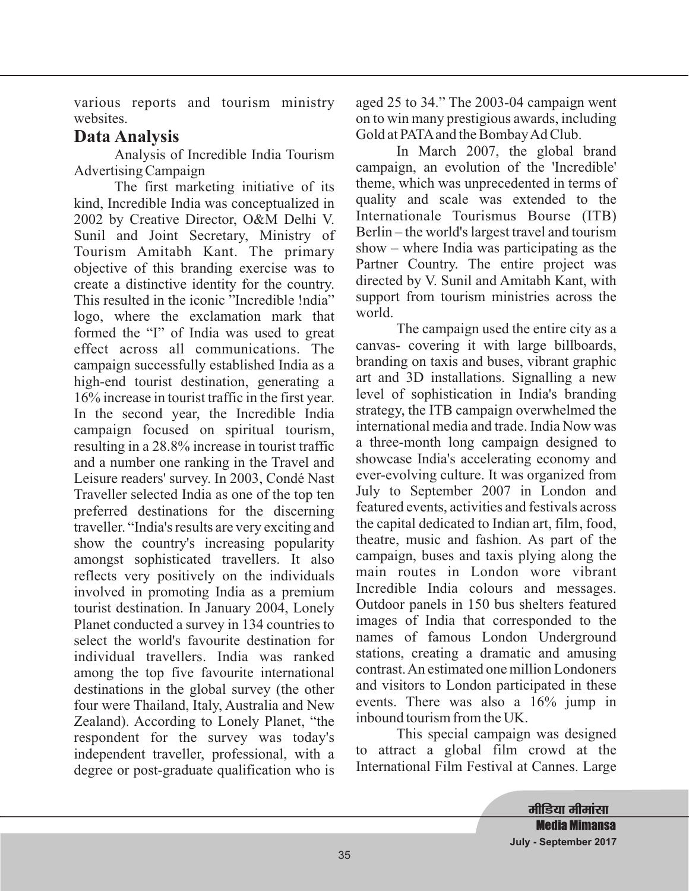various reports and tourism ministry websites.

# **Data Analysis**

Analysis of Incredible India Tourism Advertising Campaign

The first marketing initiative of its kind, Incredible India was conceptualized in 2002 by Creative Director, O&M Delhi V. Sunil and Joint Secretary, Ministry of Tourism Amitabh Kant. The primary objective of this branding exercise was to create a distinctive identity for the country. This resulted in the iconic "Incredible !ndia" logo, where the exclamation mark that formed the "I" of India was used to great effect across all communications. The campaign successfully established India as a high-end tourist destination, generating a 16% increase in tourist traffic in the first year. In the second year, the Incredible India campaign focused on spiritual tourism, resulting in a 28.8% increase in tourist traffic and a number one ranking in the Travel and Leisure readers' survey. In 2003, Condé Nast Traveller selected India as one of the top ten preferred destinations for the discerning traveller. "India's results are very exciting and show the country's increasing popularity amongst sophisticated travellers. It also reflects very positively on the individuals involved in promoting India as a premium tourist destination. In January 2004, Lonely Planet conducted a survey in 134 countries to select the world's favourite destination for individual travellers. India was ranked among the top five favourite international destinations in the global survey (the other four were Thailand, Italy, Australia and New Zealand). According to Lonely Planet, "the respondent for the survey was today's independent traveller, professional, with a degree or post-graduate qualification who is

aged 25 to 34." The 2003-04 campaign went on to win many prestigious awards, including Gold at PATAand the BombayAd Club.

In March 2007, the global brand campaign, an evolution of the 'Incredible' theme, which was unprecedented in terms of quality and scale was extended to the Internationale Tourismus Bourse (ITB) Berlin – the world's largest travel and tourism show – where India was participating as the Partner Country. The entire project was directed by V. Sunil and Amitabh Kant, with support from tourism ministries across the world.

The campaign used the entire city as a canvas- covering it with large billboards, branding on taxis and buses, vibrant graphic art and 3D installations. Signalling a new level of sophistication in India's branding strategy, the ITB campaign overwhelmed the international media and trade. India Now was a three-month long campaign designed to showcase India's accelerating economy and ever-evolving culture. It was organized from July to September 2007 in London and featured events, activities and festivals across the capital dedicated to Indian art, film, food, theatre, music and fashion. As part of the campaign, buses and taxis plying along the main routes in London wore vibrant Incredible India colours and messages. Outdoor panels in 150 bus shelters featured images of India that corresponded to the names of famous London Underground stations, creating a dramatic and amusing contrast.An estimated one million Londoners and visitors to London participated in these events. There was also a 16% jump in inbound tourism from the UK.

This special campaign was designed to attract a global film crowd at the International Film Festival at Cannes. Large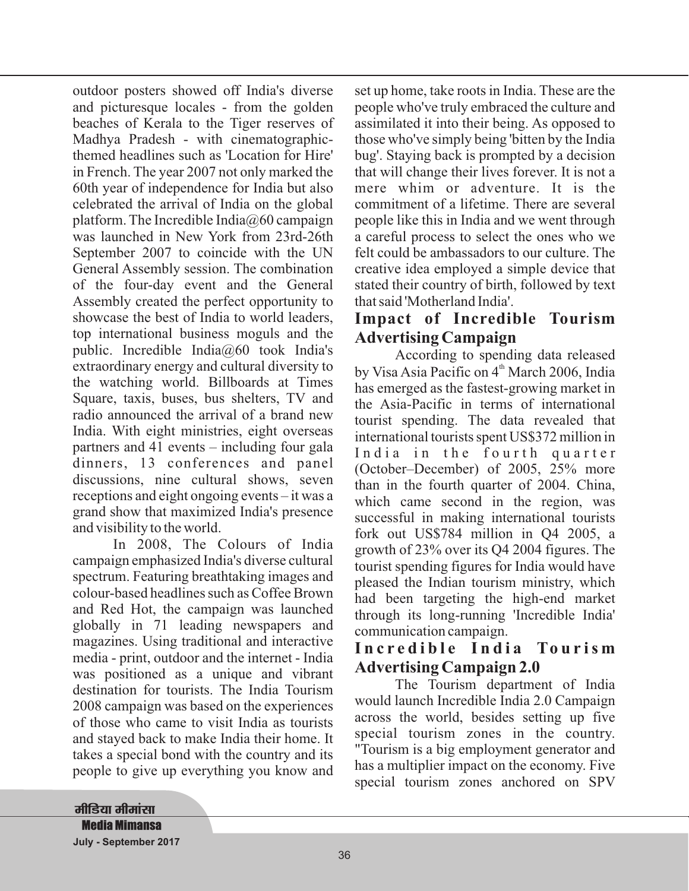outdoor posters showed off India's diverse and picturesque locales - from the golden beaches of Kerala to the Tiger reserves of Madhya Pradesh - with cinematographicthemed headlines such as 'Location for Hire' in French. The year 2007 not only marked the 60th year of independence for India but also celebrated the arrival of India on the global platform. The Incredible India $\omega$ 60 campaign was launched in New York from 23rd-26th September 2007 to coincide with the UN General Assembly session. The combination of the four-day event and the General Assembly created the perfect opportunity to showcase the best of India to world leaders, top international business moguls and the public. Incredible India $\omega$ 60 took India's extraordinary energy and cultural diversity to the watching world. Billboards at Times Square, taxis, buses, bus shelters, TV and radio announced the arrival of a brand new India. With eight ministries, eight overseas partners and 41 events – including four gala dinners, 13 conferences and panel discussions, nine cultural shows, seven receptions and eight ongoing events – it was a grand show that maximized India's presence and visibility to the world.

In 2008, The Colours of India campaign emphasized India's diverse cultural spectrum. Featuring breathtaking images and colour-based headlines such as Coffee Brown and Red Hot, the campaign was launched globally in 71 leading newspapers and magazines. Using traditional and interactive media - print, outdoor and the internet - India was positioned as a unique and vibrant destination for tourists. The India Tourism 2008 campaign was based on the experiences of those who came to visit India as tourists and stayed back to make India their home. It takes a special bond with the country and its people to give up everything you know and

set up home, take roots in India. These are the people who've truly embraced the culture and assimilated it into their being. As opposed to those who've simply being 'bitten by the India bug'. Staying back is prompted by a decision that will change their lives forever. It is not a mere whim or adventure. It is the commitment of a lifetime. There are several people like this in India and we went through a careful process to select the ones who we felt could be ambassadors to our culture. The creative idea employed a simple device that stated their country of birth, followed by text that said 'Motherland India'.

## **Impact of Incredible Tourism Advertising Campaign**

According to spending data released by Visa Asia Pacific on 4<sup>th</sup> March 2006, India has emerged as the fastest-growing market in the Asia-Pacific in terms of international tourist spending. The data revealed that international tourists spent US\$372 million in India in the fourth quarter (October–December) of 2005, 25% more than in the fourth quarter of 2004. China, which came second in the region, was successful in making international tourists fork out US\$784 million in Q4 2005, a growth of 23% over its Q4 2004 figures. The tourist spending figures for India would have pleased the Indian tourism ministry, which had been targeting the high-end market through its long-running 'Incredible India' communication campaign.

### Incredible India Tourism **Advertising Campaign 2.0**

The Tourism department of India would launch Incredible India 2.0 Campaign across the world, besides setting up five special tourism zones in the country. "Tourism is a big employment generator and has a multiplier impact on the economy. Five special tourism zones anchored on SPV

<u>मीडिया मीमांसा</u> **Media Mimansa July - September 2017**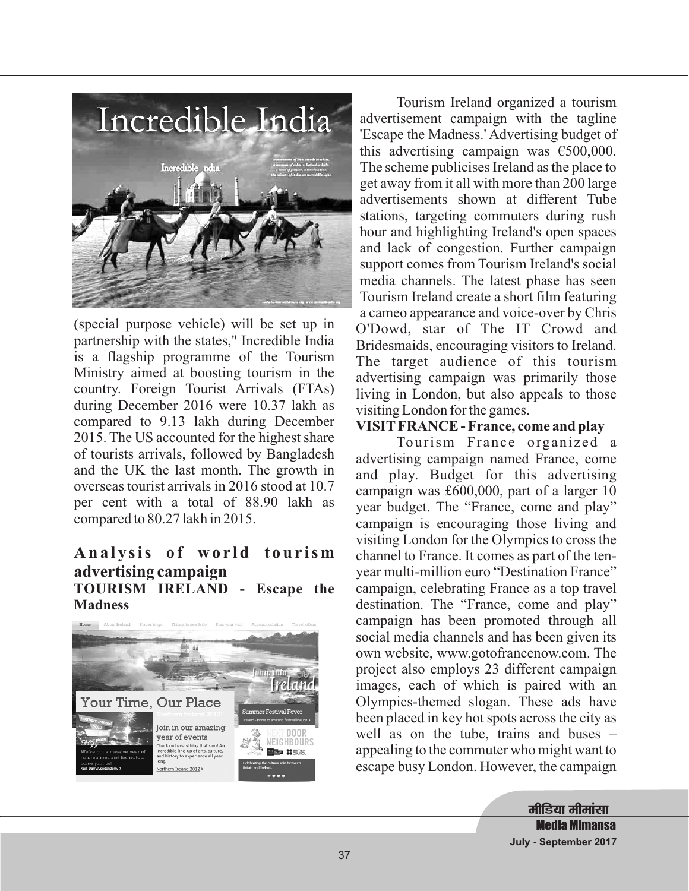

(special purpose vehicle) will be set up in partnership with the states," Incredible India is a flagship programme of the Tourism Ministry aimed at boosting tourism in the country. Foreign Tourist Arrivals (FTAs) during December 2016 were 10.37 lakh as compared to 9.13 lakh during December 2015. The US accounted for the highest share of tourists arrivals, followed by Bangladesh and the UK the last month. The growth in overseas tourist arrivals in 2016 stood at 10.7 per cent with a total of 88.90 lakh as compared to 80.27 lakh in 2015.

#### Analysis of world tourism **advertising campaign TOURISM IRELAND - Escape the Madness**



Tourism Ireland organized a tourism advertisement campaign with the tagline 'Escape the Madness.' Advertising budget of this advertising campaign was €500,000. The scheme publicises Ireland as the place to get away from it all with more than 200 large advertisements shown at different Tube stations, targeting commuters during rush hour and highlighting Ireland's open spaces and lack of congestion. Further campaign support comes from Tourism Ireland's social media channels. The latest phase has seen Tourism Ireland create a short film featuring a cameo appearance and voice-over by Chris O'Dowd, star of The IT Crowd and Bridesmaids, encouraging visitors to Ireland. The target audience of this tourism advertising campaign was primarily those living in London, but also appeals to those visiting London for the games.

#### **VISIT FRANCE - France, come and play**

Tourism France organized a advertising campaign named France, come and play. Budget for this advertising campaign was £600,000, part of a larger 10 year budget. The "France, come and play" campaign is encouraging those living and visiting London for the Olympics to cross the channel to France. It comes as part of the tenyear multi-million euro "Destination France" campaign, celebrating France as a top travel destination. The "France, come and play" campaign has been promoted through all social media channels and has been given its own website, www.gotofrancenow.com. The project also employs 23 different campaign images, each of which is paired with an Olympics-themed slogan. These ads have been placed in key hot spots across the city as well as on the tube, trains and buses – appealing to the commuter who might want to escape busy London. However, the campaign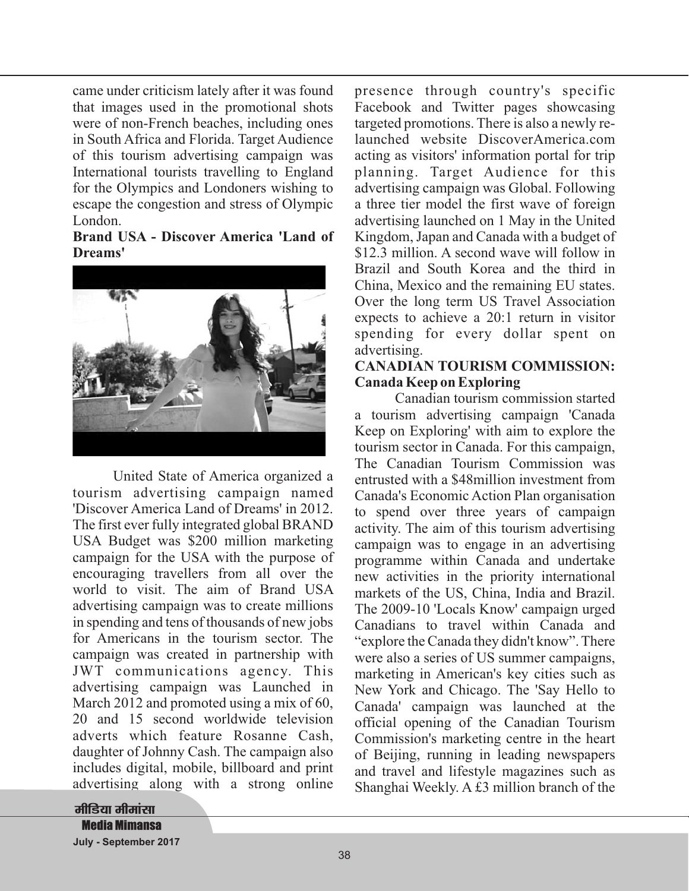came under criticism lately after it was found that images used in the promotional shots were of non-French beaches, including ones in South Africa and Florida. Target Audience of this tourism advertising campaign was International tourists travelling to England for the Olympics and Londoners wishing to escape the congestion and stress of Olympic London.

**Brand USA - Discover America 'Land of Dreams'**



United State of America organized a tourism advertising campaign named 'Discover America Land of Dreams' in 2012. The first ever fully integrated global BRAND USA Budget was \$200 million marketing campaign for the USA with the purpose of encouraging travellers from all over the world to visit. The aim of Brand USA advertising campaign was to create millions in spending and tens of thousands of new jobs for Americans in the tourism sector. The campaign was created in partnership with JWT communications agency. This advertising campaign was Launched in March 2012 and promoted using a mix of 60. 20 and 15 second worldwide television adverts which feature Rosanne Cash, daughter of Johnny Cash. The campaign also includes digital, mobile, billboard and print advertising along with a strong online

presence through country's specific Facebook and Twitter pages showcasing targeted promotions. There is also a newly relaunched website DiscoverAmerica.com acting as visitors' information portal for trip planning. Target Audience for this advertising campaign was Global. Following a three tier model the first wave of foreign advertising launched on 1 May in the United Kingdom, Japan and Canada with a budget of \$12.3 million. A second wave will follow in Brazil and South Korea and the third in China, Mexico and the remaining EU states. Over the long term US Travel Association expects to achieve a 20:1 return in visitor spending for every dollar spent on advertising.

#### **CANADIAN TOURISM COMMISSION: Canada Keep on Exploring**

Canadian tourism commission started a tourism advertising campaign 'Canada Keep on Exploring' with aim to explore the tourism sector in Canada. For this campaign, The Canadian Tourism Commission was entrusted with a \$48million investment from Canada's Economic Action Plan organisation to spend over three years of campaign activity. The aim of this tourism advertising campaign was to engage in an advertising programme within Canada and undertake new activities in the priority international markets of the US, China, India and Brazil. The 2009-10 'Locals Know' campaign urged Canadians to travel within Canada and "explore the Canada they didn't know". There were also a series of US summer campaigns, marketing in American's key cities such as New York and Chicago. The 'Say Hello to Canada' campaign was launched at the official opening of the Canadian Tourism Commission's marketing centre in the heart of Beijing, running in leading newspapers and travel and lifestyle magazines such as Shanghai Weekly. A £3 million branch of the

<u>मीडिया मीमांसा</u> **Media Mimansa July - September 2017**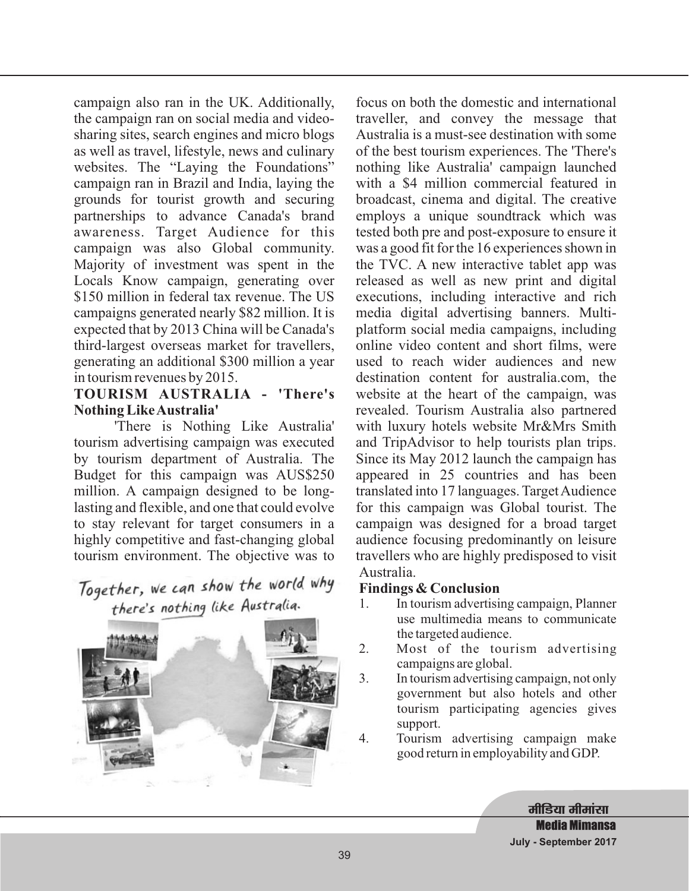campaign also ran in the UK. Additionally, the campaign ran on social media and videosharing sites, search engines and micro blogs as well as travel, lifestyle, news and culinary websites. The "Laying the Foundations" campaign ran in Brazil and India, laying the grounds for tourist growth and securing partnerships to advance Canada's brand awareness. Target Audience for this campaign was also Global community. Majority of investment was spent in the Locals Know campaign, generating over \$150 million in federal tax revenue. The US campaigns generated nearly \$82 million. It is expected that by 2013 China will be Canada's third-largest overseas market for travellers, generating an additional \$300 million a year in tourism revenues by 2015.

#### **TOURISM AUSTRALIA - 'There's Nothing LikeAustralia'**

'There is Nothing Like Australia' tourism advertising campaign was executed by tourism department of Australia. The Budget for this campaign was AUS\$250 million. A campaign designed to be longlasting and flexible, and one that could evolve to stay relevant for target consumers in a highly competitive and fast-changing global tourism environment. The objective was to

# Together, we can show the world why there's nothing like Australia.



focus on both the domestic and international traveller, and convey the message that Australia is a must-see destination with some of the best tourism experiences. The 'There's nothing like Australia' campaign launched with a \$4 million commercial featured in broadcast, cinema and digital. The creative employs a unique soundtrack which was tested both pre and post-exposure to ensure it was a good fit for the 16 experiences shown in the TVC. A new interactive tablet app was released as well as new print and digital executions, including interactive and rich media digital advertising banners. Multiplatform social media campaigns, including online video content and short films, were used to reach wider audiences and new destination content for australia.com, the website at the heart of the campaign, was revealed. Tourism Australia also partnered with luxury hotels website Mr&Mrs Smith and TripAdvisor to help tourists plan trips. Since its May 2012 launch the campaign has appeared in 25 countries and has been translated into 17 languages. Target Audience for this campaign was Global tourist. The campaign was designed for a broad target audience focusing predominantly on leisure travellers who are highly predisposed to visit Australia.

### **Findings & Conclusion**

- 1. In tourism advertising campaign, Planner use multimedia means to communicate the targeted audience.
- 2. Most of the tourism advertising campaigns are global.
- 3. In tourism advertising campaign, not only government but also hotels and other tourism participating agencies gives support.
- 4. Tourism advertising campaign make good return in employability and GDP.